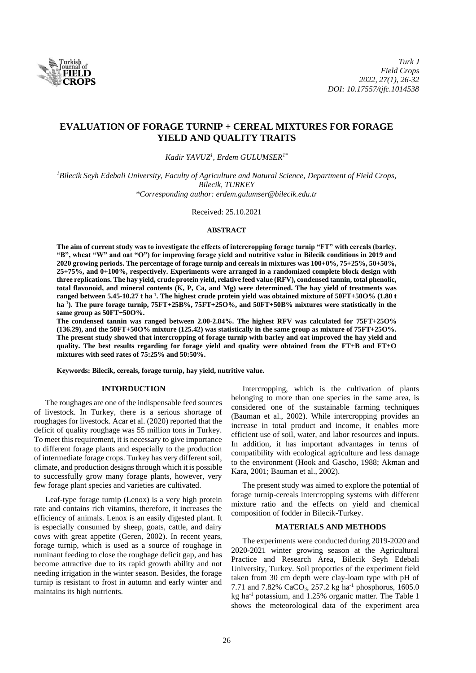

# **EVALUATION OF FORAGE TURNIP + CEREAL MIXTURES FOR FORAGE YIELD AND QUALITY TRAITS**

*Kadir YAVUZ<sup>1</sup> , Erdem GULUMSER1\**

*<sup>1</sup>Bilecik Seyh Edebali University, Faculty of Agriculture and Natural Science, Department of Field Crops, Bilecik, TURKEY \*Corresponding author: erdem.gulumser@bilecik.edu.tr*

Received: 25.10.2021

#### **ABSTRACT**

**The aim of current study was to investigate the effects of intercropping forage turnip "FT" with cereals (barley, "B", wheat "W" and oat "O") for improving forage yield and nutritive value in Bilecik conditions in 2019 and 2020 growing periods. The percentage of forage turnip and cereals in mixtures was 100+0%, 75+25%, 50+50%, 25+75%, and 0+100%, respectively. Experiments were arranged in a randomized complete block design with three replications. The hay yield, crude protein yield, relative feed value (RFV), condensed tannin, total phenolic, total flavonoid, and mineral contents (K, P, Ca, and Mg) were determined. The hay yield of treatments was ranged between 5.45-10.27 t ha-1 . The highest crude protein yield was obtained mixture of 50FT+50O% (1.80 t ha-1 ). The pure forage turnip, 75FT+25B%, 75FT+25O%, and 50FT+50B% mixtures were statistically in the same group as 50FT+50O%.**

**The condensed tannin was ranged between 2.00-2.84%. The highest RFV was calculated for 75FT+25O% (136.29), and the 50FT+50O% mixture (125.42) was statistically in the same group as mixture of 75FT+25O%. The present study showed that intercropping of forage turnip with barley and oat improved the hay yield and quality. The best results regarding for forage yield and quality were obtained from the FT+B and FT+O mixtures with seed rates of 75:25% and 50:50%.**

**Keywords: Bilecik, cereals, forage turnip, hay yield, nutritive value.**

## **INTORDUCTION**

The roughages are one of the indispensable feed sources of livestock. In Turkey, there is a serious shortage of roughages for livestock. Acar et al. (2020) reported that the deficit of quality roughage was 55 million tons in Turkey. To meet this requirement, it is necessary to give importance to different forage plants and especially to the production of intermediate forage crops. Turkey has very different soil, climate, and production designs through which it is possible to successfully grow many forage plants, however, very few forage plant species and varieties are cultivated.

Leaf-type forage turnip (Lenox) is a very high protein rate and contains rich vitamins, therefore, it increases the efficiency of animals. Lenox is an easily digested plant. It is especially consumed by sheep, goats, cattle, and dairy cows with great appetite (Geren, 2002). In recent years, forage turnip, which is used as a source of roughage in ruminant feeding to close the roughage deficit gap, and has become attractive due to its rapid growth ability and not needing irrigation in the winter season. Besides, the forage turnip is resistant to frost in autumn and early winter and maintains its high nutrients.

Intercropping, which is the cultivation of plants belonging to more than one species in the same area, is considered one of the sustainable farming techniques (Bauman et al., 2002). While intercropping provides an increase in total product and income, it enables more efficient use of soil, water, and labor resources and inputs. In addition, it has important advantages in terms of compatibility with ecological agriculture and less damage to the environment (Hook and Gascho, 1988; Akman and Kara, 2001; Bauman et al., 2002).

The present study was aimed to explore the potential of forage turnip-cereals intercropping systems with different mixture ratio and the effects on yield and chemical composition of fodder in Bilecik-Turkey.

#### **MATERIALS AND METHODS**

The experiments were conducted during 2019-2020 and 2020-2021 winter growing season at the Agricultural Practice and Research Area, Bilecik Seyh Edebali University, Turkey. Soil proporties of the experiment field taken from 30 cm depth were clay-loam type with pH of 7.71 and 7.82% CaCO<sub>3</sub>, 257.2 kg ha<sup>-1</sup> phosphorus, 1605.0 kg ha<sup>-1</sup> potassium, and 1.25% organic matter. The Table 1 shows the meteorological data of the experiment area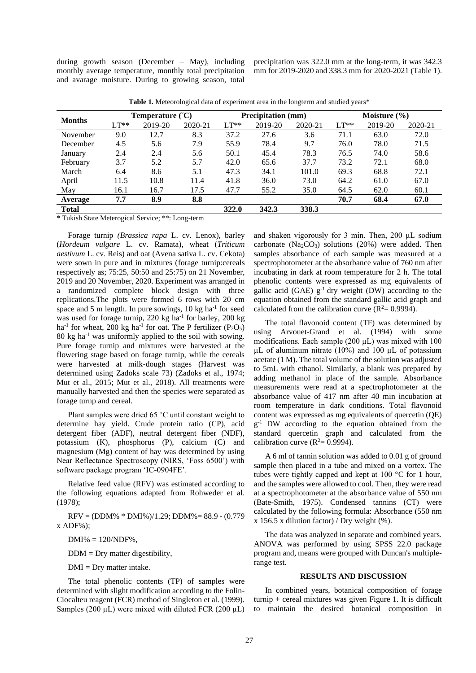during growth season (December – May), including monthly average temperature, monthly total precipitation and avarage moisture. During to growing season, total

precipitation was 322.0 mm at the long-term, it was 342.3 mm for 2019-2020 and 338.3 mm for 2020-2021 (Table 1).

| <b>Months</b> |        | Temperature $({}^{\circ}C)$ |         |        | <b>Precipitation</b> (mm) |         |        | Moisture $(\% )$ |         |  |
|---------------|--------|-----------------------------|---------|--------|---------------------------|---------|--------|------------------|---------|--|
|               | $LT**$ | 2019-20                     | 2020-21 | $LT**$ | 2019-20                   | 2020-21 | $LT**$ | 2019-20          | 2020-21 |  |
| November      | 9.0    | 12.7                        | 8.3     | 37.2   | 27.6                      | 3.6     | 71.1   | 63.0             | 72.0    |  |
| December      | 4.5    | 5.6                         | 7.9     | 55.9   | 78.4                      | 9.7     | 76.0   | 78.0             | 71.5    |  |
| January       | 2.4    | 2.4                         | 5.6     | 50.1   | 45.4                      | 78.3    | 76.5   | 74.0             | 58.6    |  |
| February      | 3.7    | 5.2                         | 5.7     | 42.0   | 65.6                      | 37.7    | 73.2   | 72.1             | 68.0    |  |
| March         | 6.4    | 8.6                         | 5.1     | 47.3   | 34.1                      | 101.0   | 69.3   | 68.8             | 72.1    |  |
| April         | 11.5   | 10.8                        | 11.4    | 41.8   | 36.0                      | 73.0    | 64.2   | 61.0             | 67.0    |  |
| May           | 16.1   | 16.7                        | 17.5    | 47.7   | 55.2                      | 35.0    | 64.5   | 62.0             | 60.1    |  |
| Average       | 7.7    | 8.9                         | 8.8     |        |                           |         | 70.7   | 68.4             | 67.0    |  |
| <b>Total</b>  |        |                             |         | 322.0  | 342.3                     | 338.3   |        |                  |         |  |

**Table 1.** Meteorological data of experiment area in the longterm and studied years\*

\* Tukish State Meterogical Service; \*\*: Long-term

Forage turnip *(Brassica rapa* L. cv. Lenox), barley (*Hordeum vulgare* L. cv. Ramata), wheat (*Triticum aestivum* L. cv. Reis) and oat (Avena sativa L. cv. Cekota) were sown in pure and in mixtures (forage turnip:cereals respectively as; 75:25, 50:50 and 25:75) on 21 November, 2019 and 20 November, 2020. Experiment was arranged in a randomized complete block design with three replications.The plots were formed 6 rows with 20 cm space and 5 m length. In pure sowings,  $10 \text{ kg}$  ha<sup>-1</sup> for seed was used for forage turnip, 220 kg ha<sup>-1</sup> for barley, 200 kg ha<sup>-1</sup> for wheat, 200 kg ha<sup>-1</sup> for oat. The P fertilizer (P<sub>2</sub>O<sub>5</sub>) 80 kg ha-1 was uniformly applied to the soil with sowing. Pure forage turnip and mixtures were harvested at the flowering stage based on forage turnip, while the cereals were harvested at milk-dough stages (Harvest was determined using Zadoks scale 73) (Zadoks et al., 1974; Mut et al., 2015; Mut et al., 2018). All treatments were manually harvested and then the species were separated as forage turnp and cereal.

Plant samples were dried 65 °C until constant weight to determine hay yield. Crude protein ratio (CP), acid detergent fiber (ADF), neutral detergent fiber (NDF), potassium (K), phosphorus (P), calcium (C) and magnesium (Mg) content of hay was determined by using Near Reflectance Spectroscopy (NIRS, 'Foss 6500') with software package program 'IC-0904FE'.

Relative feed value (RFV) was estimated according to the following equations adapted from Rohweder et al. (1978);

 $RFV = (DDM% * DMI%) / 1.29$ ;  $DDM% = 88.9 - (0.779)$  $x$  ADF% $)$ :

 $DMI\% = 120/NDF\%$ ,

 $DDM = Dry$  matter digestibility,

 $DMI = Drv$  matter intake.

The total phenolic contents (TP) of samples were determined with slight modification according to the Folin-Ciocalteu reagent (FCR) method of Singleton et al. (1999). Samples (200  $\mu$ L) were mixed with diluted FCR (200  $\mu$ L) and shaken vigorously for 3 min. Then, 200 µL sodium carbonate  $(Na_2CO_3)$  solutions (20%) were added. Then samples absorbance of each sample was measured at a spectrophotometer at the absorbance value of 760 nm after incubating in dark at room temperature for 2 h. The total phenolic contents were expressed as mg equivalents of gallic acid (GAE)  $g^{-1}$  dry weight (DW) according to the equation obtained from the standard gallic acid graph and calculated from the calibration curve ( $R^2$  = 0.9994).

The total flavonoid content (TF) was determined by using Arvouet-Grand et al. (1994) with some modifications. Each sample  $(200 \mu L)$  was mixed with 100  $\mu$ L of aluminum nitrate (10%) and 100  $\mu$ L of potassium acetate (1 M). The total volume of the solution was adjusted to 5mL with ethanol. Similarly, a blank was prepared by adding methanol in place of the sample. Absorbance measurements were read at a spectrophotometer at the absorbance value of 417 nm after 40 min incubation at room temperature in dark conditions. Total flavonoid content was expressed as mg equivalents of quercetin (QE) g -1 DW according to the equation obtained from the standard quercetin graph and calculated from the calibration curve  $(R^2 = 0.9994)$ .

A 6 ml of tannin solution was added to 0.01 g of ground sample then placed in a tube and mixed on a vortex. The tubes were tightly capped and kept at 100 °C for 1 hour, and the samples were allowed to cool. Then, they were read at a spectrophotometer at the absorbance value of 550 nm (Bate-Smith, 1975). Condensed tannins (CT) were calculated by the following formula: Absorbance (550 nm x 156.5 x dilution factor) / Dry weight  $(\% )$ .

The data was analyzed in separate and combined years. ANOVA was performed by using SPSS 22.0 package program and, means were grouped with Duncan's multiplerange test.

#### **RESULTS AND DISCUSSION**

In combined years, botanical composition of forage turnip + cereal mixtures was given Figure 1. It is difficult to maintain the desired botanical composition in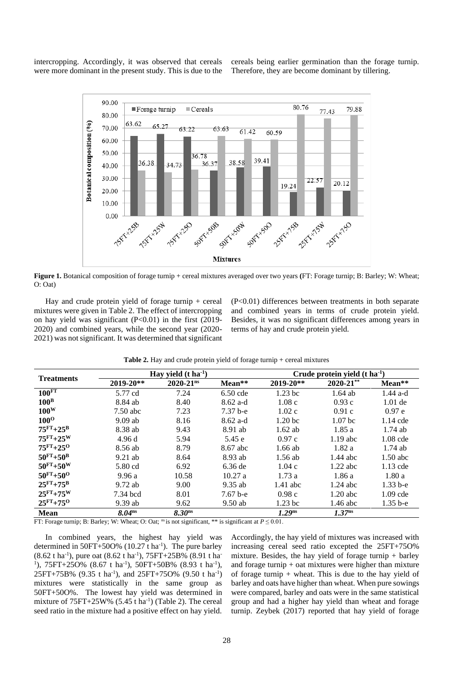intercropping. Accordingly, it was observed that cereals were more dominant in the present study. This is due to the

cereals being earlier germination than the forage turnip. Therefore, they are become dominant by tillering.



**Figure 1.** Botanical composition of forage turnip + cereal mixtures averaged over two years **(**FT: Forage turnip; B: Barley; W: Wheat; O: Oat)

Hay and crude protein yield of forage turnip  $+$  cereal mixtures were given in Table 2. The effect of intercropping on hay yield was significant  $(P<0.01)$  in the first  $(2019 -$ 2020) and combined years, while the second year (2020- 2021) was not significant. It was determined that significant

(P<0.01) differences between treatments in both separate and combined years in terms of crude protein yield. Besides, it was no significant differences among years in terms of hay and crude protein yield.

|  |  |  |  |  | Table 2. Hay and crude protein yield of forage turnip + cereal mixtures |
|--|--|--|--|--|-------------------------------------------------------------------------|
|--|--|--|--|--|-------------------------------------------------------------------------|

| <b>Treatments</b>  |                    | Hay yield $(t \, ha^{-1})$ |            |                    | Crude protein yield $(t \, ha-1)$ |              |  |  |
|--------------------|--------------------|----------------------------|------------|--------------------|-----------------------------------|--------------|--|--|
|                    | $2019 - 20**$      | $2020 - 21$ <sup>ns</sup>  | Mean**     | $2019 - 20**$      | $2020 - 21$ **                    | Mean**       |  |  |
| 100 <sup>FT</sup>  | 5.77 cd            | 7.24                       | $6.50$ cde | $1.23$ bc          | $1.64$ ab                         | $1.44$ a-d   |  |  |
| $100^{\rm B}$      | 8.84 ab            | 8.40                       | $8.62$ a-d | 1.08c              | 0.93c                             | $1.01$ de    |  |  |
| $100^{\rm W}$      | $7.50$ abc         | 7.23                       | $7.37b-e$  | 1.02c              | 0.91c                             | 0.97e        |  |  |
| $100^{\rm O}$      | $9.09$ ab          | 8.16                       | $8.62$ a-d | 1.20 <sub>bc</sub> | 1.07 <sub>bc</sub>                | 1.14 cde     |  |  |
| $75^{FT}+25^{B}$   | 8.38 ab            | 9.43                       | 8.91 ab    | $1.62$ ab          | 1.85a                             | $1.74$ ab    |  |  |
| $75^{FT}+25^{W}$   | 4.96d              | 5.94                       | 5.45 e     | 0.97c              | $1.19$ abc                        | $1.08$ cde   |  |  |
| $75^{FT}+25^{O}$   | 8.56 ab            | 8.79                       | 8.67 abc   | $1.66$ ab          | 1.82a                             | $1.74$ ab    |  |  |
| $50^{FT} + 50^{B}$ | $9.21$ ab          | 8.64                       | 8.93 ab    | $1.56$ ab          | $1.44$ abc                        | $1.50$ abc   |  |  |
| $50^{FT} + 50^{W}$ | 5.80 cd            | 6.92                       | $6.36$ de  | 1.04c              | $1.22$ abc                        | 1.13 cde     |  |  |
| $50^{FT} + 50^{O}$ | 9.96a              | 10.58                      | 10.27a     | 1.73a              | 1.86a                             | 1.80a        |  |  |
| $25^{FT}+75^{B}$   | $9.72$ ab          | 9.00                       | $9.35$ ab  | $1.41$ abc         | $1.24$ abc                        | $1.33 b-e$   |  |  |
| $25FT+75W$         | 7.34 bcd           | 8.01                       | $7.67b-e$  | 0.98c              | $1.20$ abc                        | $1.09$ cde   |  |  |
| $25FT+750$         | $9.39$ ab          | 9.62                       | $9.50$ ab  | $1.23$ bc          | 1.46 abc                          | $1.35 b - e$ |  |  |
| <b>Mean</b>        | 8.04 <sup>ns</sup> | 8.30 <sup>ns</sup>         |            | $1.29$ ns          | 1.37 <sup>ns</sup>                |              |  |  |

FT: Forage turnip; B: Barley; W: Wheat; O: Oat; <sup>ns</sup> is not significant, \*\* is significant at  $P \le 0.01$ .

In combined years, the highest hay yield was determined in  $50FT+500\%$  (10.27 t ha<sup>-1</sup>). The pure barley (8.62 t ha<sup>-1</sup>), pure oat (8.62 t ha<sup>-1</sup>), 75FT+25B% (8.91 t ha<sup>-1</sup>) <sup>1</sup>), 75FT+25O% (8.67 t ha<sup>-1</sup>), 50FT+50B% (8.93 t ha<sup>-1</sup>),  $25FT+75B\%$  (9.35 t ha<sup>-1</sup>), and  $25FT+75O\%$  (9.50 t ha<sup>-1</sup>) mixtures were statistically in the same group as 50FT+50O%. The lowest hay yield was determined in mixture of  $75FT+25W\%$  (5.45 t ha<sup>-1</sup>) (Table 2). The cereal seed ratio in the mixture had a positive effect on hay yield.

Accordingly, the hay yield of mixtures was increased with increasing cereal seed ratio excepted the 25FT+75O% mixture. Besides, the hay yield of forage turnip  $+$  barley and forage turnip  $+$  oat mixtures were higher than mixture of forage turnip  $+$  wheat. This is due to the hay yield of barley and oats have higher than wheat. When pure sowings were compared, barley and oats were in the same statistical group and had a higher hay yield than wheat and forage turnip. Zeybek (2017) reported that hay yield of forage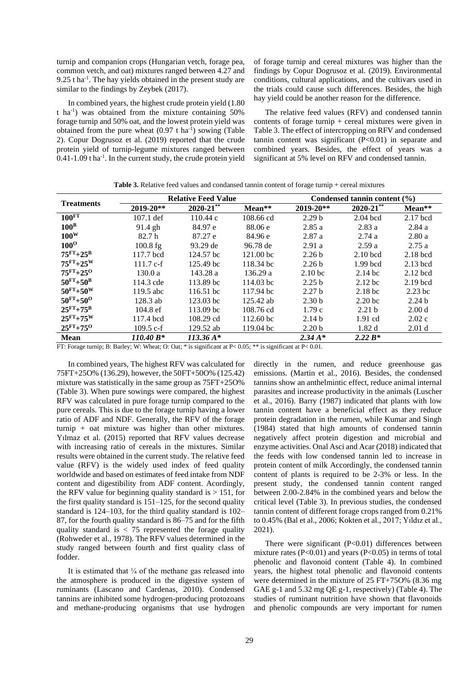turnip and companion crops (Hungarian vetch, forage pea, common vetch, and oat) mixtures ranged between 4.27 and  $9.25$  t ha<sup>-1</sup>. The hay yields obtained in the present study are similar to the findings by Zeybek (2017).

In combined vears, the highest crude protein vield (1.80) t ha<sup>-1</sup>) was obtained from the mixture containing  $50\%$ forage turnip and 50% oat, and the lowest protein yield was obtained from the pure wheat  $(0.97 \text{ t ha}^{-1})$  sowing (Table 2). Copur Dogrusoz et al. (2019) reported that the crude protein yield of turnip-legume mixtures ranged between  $0.41$ -1.09 t ha<sup>-1</sup>. In the current study, the crude protein yield of forage turnip and cereal mixtures was higher than the findings by Copur Dogrusoz et al. (2019). Environmental conditions, cultural applications, and the cultivars used in the trials could cause such differences. Besides, the high hav vield could be another reason for the difference.

The relative feed values (RFV) and condensed tannin contents of forage turnip  $+$  cereal mixtures were given in Table 3. The effect of intercropping on RFV and condensed tannin content was significant  $(P<0.01)$  in separate and combined years. Besides, the effect of years was a significant at 5% level on RFV and condensed tannin.

|                    |                    | <b>Relative Feed Value</b> |                      | Condensed tannin content $(\% )$ |                    |                   |  |
|--------------------|--------------------|----------------------------|----------------------|----------------------------------|--------------------|-------------------|--|
| <b>Treatments</b>  | $2019 - 20**$      | $2020 - 21$ **             | Mean**               | 2019-20**                        | $2020 - 21$ **     | Mean**            |  |
| 100 <sup>FT</sup>  | $107.1$ def        | 110.44c                    | 108.66 cd            | 2.29 <sub>b</sub>                | $2.04$ bcd         | $2.17$ bcd        |  |
| 100 <sup>B</sup>   | 91.4 gh            | 84.97 e                    | 88.06 e              | 2.85a                            | 2.83a              | 2.84a             |  |
| $100^{\rm W}$      | 82.7h              | 87.27 e                    | 84.96 e              | 2.87a                            | 2.74a              | 2.80a             |  |
| $100^{\rm o}$      | $100.8$ fg         | 93.29 de                   | 96.78 de             | 2.91a                            | 2.59a              | 2.75a             |  |
| $75^{FT}+25^{B}$   | 117.7 bcd          | 124.57 bc                  | 121.00 bc            | 2.26 <sub>b</sub>                | $2.10$ bcd         | $2.18$ bcd        |  |
| $75FT+25W$         | $111.7 c-f$        | 125.49 bc                  | 118.34 bc            | 2.26 <sub>b</sub>                | $1.99$ bcd         | $2.13$ bcd        |  |
| $75^{FT}+25^{O}$   | 130.0a             | 143.28 a                   | 136.29 a             | 2.10 <sub>bc</sub>               | $2.14$ bc          | $2.12$ bcd        |  |
| $50^{FT} + 50^{B}$ | 114.3 cde          | 113.89 bc                  | 114.03 bc            | 2.25 <sub>b</sub>                | $2.12$ bc          | $2.19$ bcd        |  |
| $50^{FT} + 50^{W}$ | 119.5 abc          | 116.51 bc                  | 117.94 bc            | 2.27 <sub>b</sub>                | 2.18 <sub>bc</sub> | $2.23$ bc         |  |
| $50^{FT} + 50^{O}$ | $128.3$ ab         | 123.03 bc                  | 125.42 ab            | 2.30 <sub>b</sub>                | 2.20 <sub>bc</sub> | 2.24 <sub>b</sub> |  |
| $25^{FT}+75^{B}$   | $104.8 \text{ ef}$ | $113.09$ bc                | 108.76 cd            | 1.79c                            | 2.21 <sub>b</sub>  | 2.00 <sub>d</sub> |  |
| $25FT+75W$         | 117.4 bcd          | 108.29 cd                  | 112.60 <sub>bc</sub> | 2.14 <sub>b</sub>                | $1.91$ cd          | 2.02c             |  |
| $25FT+750$         | $109.5 c-f$        | 129.52 ab                  | 119.04 bc            | 2.20 <sub>b</sub>                | 1.82d              | 2.01 <sub>d</sub> |  |
| <b>Mean</b>        | $110.40 B*$        | $113.36\,\mathrm{A*}$      |                      | $2.34\,A*$                       | $2.22 B*$          |                   |  |

Table 3. Relative feed values and condansed tannin content of forage turnip + cereal mixtures

FT: Forage turnip; B: Barley; W: Wheat; O: Oat; \* is significant at P< 0.05; \*\* is significant at P< 0.01.

In combined years, The highest RFV was calculated for 75FT+25O% (136.29), however, the 50FT+50O% (125.42) mixture was statistically in the same group as 75FT+25O% (Table 3). When pure sowings were compared, the highest RFV was calculated in pure forage turnip compared to the pure cereals. This is due to the forage turnip having a lower ratio of ADF and NDF. Generally, the RFV of the forage turnip  $+$  oat mixture was higher than other mixtures. Yilmaz et al. (2015) reported that RFV values decrease with increasing ratio of cereals in the mixtures. Similar results were obtained in the current study. The relative feed value (RFV) is the widely used index of feed quality worldwide and based on estimates of feed intake from NDF content and digestibility from ADF content. Acordingly, the RFV value for beginning quality standard is  $> 151$ , for the first quality standard is  $151-125$ , for the second quality standard is  $124-103$ , for the third quality standard is  $102-$ 87, for the fourth quality standard is 86–75 and for the fifth quality standard is  $<$  75 represented the forage quality (Rohweder et al., 1978). The RFV values determined in the study ranged between fourth and first quality class of fodder.

It is estimated that  $\frac{1}{4}$  of the methane gas released into the atmosphere is produced in the digestive system of ruminants (Lascano and Cardenas, 2010). Condensed tannins are inhibited some hydrogen-producing protozoans and methane-producing organisms that use hydrogen directly in the rumen, and reduce greenhouse gas emissions. (Martin et al., 2016). Besides, the condensed tannins show an anthelmintic effect, reduce animal internal parasites and increase productivity in the animals (Luscher et al., 2016). Barry (1987) indicated that plants with low tannin content have a beneficial effect as they reduce protein degradation in the rumen, while Kumar and Singh (1984) stated that high amounts of condensed tannin negatively affect protein digestion and microbial and enzyme activities. Onal Asci and Acar (2018) indicated that the feeds with low condensed tannin led to increase in protein content of milk Accordingly, the condensed tannin content of plants is required to be 2-3% or less. In the present study, the condensed tannin content ranged between 2.00-2.84% in the combined years and below the critical level (Table 3). In previous studies, the condensed tannin content of different forage crops ranged from 0.21% to 0.45% (Bal et al., 2006; Kokten et al., 2017; Yıldız et al.,  $2021$ ).

There were significant  $(P<0.01)$  differences between mixture rates ( $P<0.01$ ) and years ( $P<0.05$ ) in terms of total phenolic and flavonoid content (Table 4). In combined years, the highest total phenolic and flavonoid contents were determined in the mixture of 25 FT+75O% (8.36 mg GAE g-1 and 5.32 mg QE g-1, respectively) (Table 4). The studies of ruminant nutrition have shown that flavonoids and phenolic compounds are very important for rumen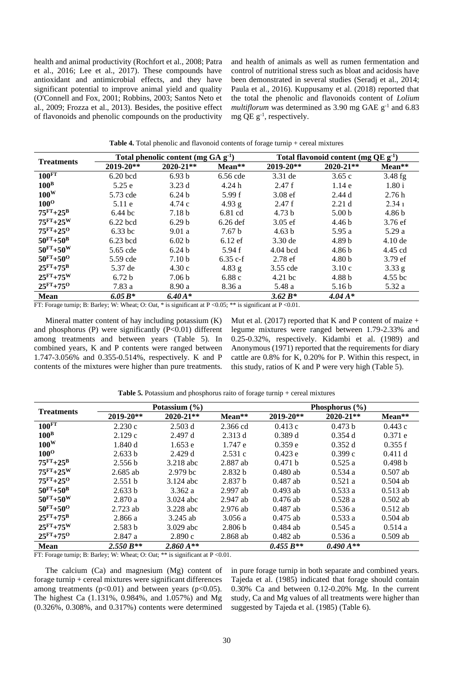health and animal productivity (Rochfort et al., 2008; Patra et al., 2016; Lee et al., 2017). These compounds have antioxidant and antimicrobial effects, and they have significant potential to improve animal yield and quality (O'Connell and Fox, 2001; Robbins, 2003; Santos Neto et al., 2009; Frozza et al., 2013). Besides, the positive effect of flavonoids and phenolic compounds on the productivity

and health of animals as well as rumen fermentation and control of nutritional stress such as bloat and acidosis have been demonstrated in several studies (Seradj et al., 2014; Paula et al., 2016). Kuppusamy et al. (2018) reported that the total the phenolic and flavonoids content of Lolium multiflorum was determined as 3.90 mg GAE  $g^{-1}$  and 6.83 mg QE  $g^{-1}$ , respectively.

|                    |                   | Total phenolic content (mg $GA$ g <sup>-1</sup> ) |                   |                   | Total flavonoid content (mg $QE g-1$ ) |                   |  |  |
|--------------------|-------------------|---------------------------------------------------|-------------------|-------------------|----------------------------------------|-------------------|--|--|
| <b>Treatments</b>  | $2019 - 20**$     | $2020 - 21**$                                     | Mean**            | 2019-20**         | $2020 - 21**$                          | Mean**            |  |  |
| 100 <sup>FT</sup>  | $6.20$ bcd        | 6.93 <sub>b</sub>                                 | 6.56 cde          | 3.31 de           | 3.65c                                  | $3.48$ fg         |  |  |
| 100 <sup>B</sup>   | 5.25e             | 3.23d                                             | 4.24h             | 2.47f             | 1.14e                                  | 1.80i             |  |  |
| $100^{\rm W}$      | 5.73 cde          | 6.24 <sub>b</sub>                                 | 5.99 f            | $3.08$ ef         | 2.44d                                  | 2.76h             |  |  |
| $100^{\rm O}$      | $5.11$ e          | 4.74c                                             | $4.93$ g          | 2.47f             | 2.21 <sub>d</sub>                      | 2.341             |  |  |
| $75^{FT}+25^{B}$   | $6.44$ bc         | 7.18 <sub>b</sub>                                 | $6.81$ cd         | 4.73 <sub>b</sub> | 5.00 <sub>b</sub>                      | 4.86 <sub>b</sub> |  |  |
| $75^{FT}+25^{W}$   | $6.22$ bcd        | 6.29 <sub>b</sub>                                 | $6.26$ def        | $3.05$ ef         | 4.46 <sub>b</sub>                      | $3.76 \text{ ef}$ |  |  |
| $75^{FT}+25^{O}$   | $6.33$ bc         | 9.01a                                             | 7.67 <sub>b</sub> | 4.63 b            | 5.95a                                  | 5.29a             |  |  |
| $50^{FT} + 50^{B}$ | $6.23$ bcd        | 6.02 <sub>b</sub>                                 | $6.12$ ef         | $3.30$ de         | 4.89 <sub>b</sub>                      | $4.10$ de         |  |  |
| $50^{FT} + 50^{W}$ | 5.65 cde          | 6.24 <sub>b</sub>                                 | 5.94 f            | $4.04$ bcd        | 4.86 <sub>b</sub>                      | 4.45 cd           |  |  |
| $50^{FT} + 50^{O}$ | 5.59 cde          | 7.10 <sub>b</sub>                                 | $6.35c-f$         | $2.78$ ef         | 4.80 <sub>b</sub>                      | 3.79 ef           |  |  |
| $25^{FT}+75^{B}$   | 5.37 de           | 4.30c                                             | $4.83$ g          | 3.55 cde          | 3.10c                                  | $3.33$ g          |  |  |
| $25^{FT}+75^{W}$   | 6.72 <sub>b</sub> | 7.06 <sub>b</sub>                                 | 6.88c             | $4.21$ bc         | 4.88 <sub>b</sub>                      | 4.55 bc           |  |  |
| $25^{FT}+75^{O}$   | 7.83a             | 8.90a                                             | 8.36 a            | 5.48 a            | 5.16 <sub>b</sub>                      | 5.32 a            |  |  |
| <b>Mean</b>        | 6.05 $B^*$        | $6.40A*$                                          |                   | 3.62 $B^*$        | $4.04 A*$                              |                   |  |  |

Table 4. Total phenolic and flavonoid contents of forage turnip + cereal mixtures

FT: Forage turnip; B: Barley; W: Wheat; O: Oat, \* is significant at  $P < 0.05$ ; \*\* is significant at  $P < 0.01$ .

Mineral matter content of hav including potassium  $(K)$ and phosphorus (P) were significantly  $(P<0.01)$  different among treatments and between years (Table 5). In combined vears. K and P contents were ranged between 1.747-3.056% and 0.355-0.514%, respectively. K and P contents of the mixtures were higher than pure treatments.

Mut et al. (2017) reported that K and P content of maize  $+$ legume mixtures were ranged between 1.79-2.33% and 0.25-0.32%, respectively. Kidambi et al. (1989) and Anonymous (1971) reported that the requirements for diary cattle are 0.8% for K, 0.20% for P. Within this respect, in this study, ratios of K and P were very high (Table 5).

|                    |               | Potassium $(\% )$        |                    |               | Phosphorus $(\% )$       |            |
|--------------------|---------------|--------------------------|--------------------|---------------|--------------------------|------------|
| <b>Treatments</b>  | $2019 - 20**$ | $2020 - 21**$            | Mean**             | $2019 - 20**$ | $2020 - 21**$            | Mean**     |
| 100 <sup>FT</sup>  | 2.230c        | 2.503 d                  | 2.366 cd           | 0.413c        | 0.473 h                  | 0.443c     |
| $100^{\rm B}$      | 2.129c        | 2.497 d                  | 2.313 d            | 0.389 d       | 0.354d                   | 0.371 e    |
| $100^{\rm W}$      | 1.840d        | 1.653 e                  | 1.747e             | 0.359e        | 0.352d                   | 0.355 f    |
| $100^{\rm o}$      | 2.633 b       | 2.429d                   | 2.531c             | 0.423 e       | 0.399c                   | 0.411 d    |
| $75^{FT}+25^{B}$   | 2.556 b       | 3.218 abc                | 2.887 ab           | 0.471 b       | 0.525a                   | 0.498 b    |
| $75^{FT}+25^{W}$   | $2.685$ ab    | 2.979 <sub>bc</sub>      | 2.832 b            | $0.480$ ab    | 0.534a                   | $0.507$ ab |
| $75^{FT}+25^{O}$   | 2.551 b       | 3.124 abc                | 2.837 <sub>b</sub> | $0.487$ ab    | 0.521a                   | $0.504$ ab |
| $50^{FT} + 50^{B}$ | 2.633 b       | 3.362 a                  | $2.997$ ab         | $0.493$ ab    | 0.533a                   | $0.513$ ab |
| $50^{FT} + 50^{W}$ | 2.870a        | $3.024$ abc              | $2.947$ ab         | $0.476$ ab    | 0.528a                   | $0.502$ ab |
| $50^{FT} + 50^{O}$ | $2.723$ ab    | 3.228 abc                | $2.976$ ab         | $0.487$ ab    | 0.536a                   | $0.512$ ab |
| $25FT+75B$         | 2.866 a       | $3.245$ ab               | 3.056a             | $0.475$ ab    | 0.533a                   | $0.504$ ab |
| $25^{FT}+75^{W}$   | 2.583 b       | $3.029$ abc              | 2.806 <sub>b</sub> | $0.484$ ab    | 0.545a                   | 0.514a     |
| $25^{FT}+75^{O}$   | 2.847a        | 2.890c                   | $2.868$ ab         | $0.482$ ab    | 0.536a                   | $0.509$ ab |
| <b>Mean</b>        | $2.550 B**$   | $2.860\,\mathrm{A}^{**}$ |                    | $0.455 B**$   | $0.490\,\mathrm{A}^{**}$ |            |

FT: Forage turnip; B: Barley; W: Wheat; O: Oat; \*\* is significant at  $P < 0.01$ .

The calcium  $(Ca)$  and magnesium  $(Mg)$  content of forage turnip + cereal mixtures were significant differences among treatments ( $p<0.01$ ) and between years ( $p<0.05$ ). The highest Ca (1.131%, 0.984%, and 1.057%) and Mg  $(0.326\%, 0.308\%, \text{ and } 0.317\%)$  contents were determined in pure forage turnip in both separate and combined years. Tajeda et al. (1985) indicated that forage should contain  $0.30\%$  Ca and between  $0.12 - 0.20\%$  Mg. In the current study, Ca and Mg values of all treatments were higher than suggested by Tajeda et al. (1985) (Table 6).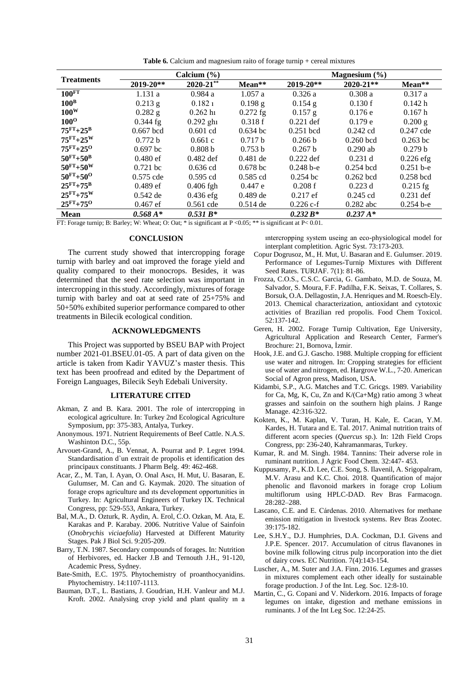Table 6. Calcium and magnesium raito of forage turnip + cereal mixtures

|                    |               | Calcium $(\% )$ |            |               | Magnesium $(\% )$ |             |  |  |
|--------------------|---------------|-----------------|------------|---------------|-------------------|-------------|--|--|
| <b>Treatments</b>  | $2019 - 20**$ | $2020 - 21$ **  | Mean**     | $2019 - 20**$ | $2020 - 21**$     | Mean**      |  |  |
| 100 <sup>FT</sup>  | 1.131a        | 0.984a          | 1.057a     | 0.326a        | 0.308a            | 0.317a      |  |  |
| 100 <sup>B</sup>   | $0.213$ g     | 0.1821          | $0.198$ g  | $0.154$ g     | 0.130 f           | 0.142 h     |  |  |
| $100^{\rm W}$      | $0.282$ g     | 0.262 h1        | $0.272$ fg | $0.157$ g     | 0.176e            | 0.167h      |  |  |
| $100^{\rm o}$      | $0.344$ fg    | $0.292$ ghi     | 0.318f     | $0.221$ def   | 0.179 e           | $0.200$ g   |  |  |
| $75^{FT}+25^{B}$   | $0.667$ bcd   | $0.601$ cd      | $0.634$ bc | $0.251$ bcd   | $0.242$ cd        | $0.247$ cde |  |  |
| $75^{FT}+25^{W}$   | 0.772 b       | 0.661c          | 0.717 b    | 0.266 b       | $0.260$ bcd       | $0.263$ bc  |  |  |
| $75^{FT}+25^{O}$   | $0.697$ bc    | 0.808 b         | 0.753 b    | 0.267 b       | $0.290$ ab        | 0.279 b     |  |  |
| $50^{FT}+50^{B}$   | $0.480$ ef    | $0.482$ def     | $0.481$ de | $0.222$ def   | 0.231 d           | $0.226$ efg |  |  |
| $50^{FT} + 50^{W}$ | $0.721$ bc    | $0.636$ cd      | $0.678$ bc | $0.248 b - e$ | $0.254$ bcd       | $0.251 b-e$ |  |  |
| $50^{FT} + 50^{O}$ | $0.575$ cde   | $0.595$ cd      | $0.585$ cd | $0.254$ bc    | $0.262$ bcd       | $0.258$ bcd |  |  |
| $25^{FT}+75^{B}$   | $0.489$ ef    | $0.406$ fgh     | 0.447 e    | 0.208f        | $0.223$ d         | $0.215$ fg  |  |  |
| $25FT + 75W$       | $0.542$ de    | $0.436$ efg     | $0.489$ de | $0.217$ ef    | $0.245$ cd        | $0.231$ def |  |  |
| $25^{FT}+75^{O}$   | $0.467$ ef    | $0.561$ cde     | $0.514$ de | $0.226$ c-f   | $0.282$ abc       | $0.254b-e$  |  |  |
| <b>Mean</b>        | $0.568 A*$    | $0.531 B*$      |            | $0.232 B*$    | $0.237 A*$        |             |  |  |

FT: Forage turnip; B: Barley; W: Wheat; O: Oat; \* is significant at  $P < 0.05$ ; \*\* is significant at  $P < 0.01$ .

#### **CONCLUSION**

The current study showed that intercropping forage turnip with barley and oat improved the forage yield and quality compared to their monocrops. Besides, it was determined that the seed rate selection was important in intercropping in this study. Accordingly, mixtures of forage turnip with barley and oat at seed rate of  $25+75%$  and 50+50% exhibited superior performance compared to other treatments in Bilecik ecological condition.

## **ACKNOWLEDGMENTS**

This Project was supported by BSEU BAP with Project number 2021-01.BSEU.01-05. A part of data given on the article is taken from Kadir YAVUZ's master thesis. This text has been proofread and edited by the Department of Foreign Languages, Bilecik Seyh Edebali University.

#### **LITERATURE CITED**

- Akman, Z and B. Kara, 2001. The role of intercropping in ecological agriculture. In: Turkey 2nd Ecological Agriculture Symposium, pp: 375-383, Antalya, Turkey.
- Anonymous. 1971. Nutrient Requirements of Beef Cattle. N.A.S. Washinton D.C., 55p.
- Arvouet-Grand, A., B. Vennat, A. Pourrat and P. Legret 1994. Standardisation d'un extrait de propolis et identification des principaux constituants. J Pharm Belg. 49: 462-468.
- Acar, Z., M. Tan, I. Ayan, O. Onal Ascı, H. Mut, U. Basaran, E. Gulumser, M. Can and G. Kaymak. 2020. The situation of forage crops agriculture and its development opportunities in Turkey. In: Agricultural Engineers of Turkey IX. Technical Congress, pp: 529-553, Ankara, Turkey.
- Bal, M.A., D. Ozturk, R. Aydin, A. Erol, C.O. Ozkan, M. Ata, E. Karakas and P. Karabay. 2006. Nutritive Value of Sainfoin (Onobrychis viciaefolia) Harvested at Different Maturity Stages. Pak J Biol Sci. 9:205-209.
- Barry, T.N. 1987. Secondary compounds of forages. In: Nutrition of Herbivores, ed. Hacker J.B and Ternouth J.H., 91-120, Academic Press, Sydney.
- Bate-Smith, E.C. 1975. Phytochemistry of proanthocyanidins. Phytochemistry. 14:1107-1113.
- Bauman, D.T., L. Bastians, J. Goudrian, H.H. Vanleur and M.J. Kroft. 2002. Analysing crop yield and plant quality in a

intercropping system useing an eco-physiological model for interplant completition. Agric Syst. 73:173-203.

- Copur Dogrusoz, M., H. Mut, U. Basaran and E. Gulumser. 2019. Performance of Legumes-Turnip Mixtures with Different Seed Rates. TURJAF. 7(1): 81-86.
- Frozza, C.O.S., C.S.C. Garcia, G. Gambato, M.D. de Souza, M. Salvador, S. Moura, F.F. Padilha, F.K. Seixas, T. Collares, S. Borsuk, O.A. Dellagostin, J.A. Henriques and M. Roesch-Ely. 2013. Chemical characterization, antioxidant and cytotoxic activities of Brazilian red propolis. Food Chem Toxicol. 52:137-142.
- Geren, H. 2002. Forage Turnip Cultivation, Ege University, Agricultural Application and Research Center, Farmer's Brochure: 21, Bornova, İzmir.
- Hook, J.E. and G.J. Gascho. 1988. Multiple cropping for efficient use water and nitrogen. In: Cropping strategies for efficient use of water and nitrogen, ed. Hargrove W.L., 7-20. American Social of Agron press, Madison, USA.
- Kidambi, S.P., A.G. Matches and T.C. Gricgs. 1989. Variability for Ca, Mg, K, Cu, Zn and K/(Ca+Mg) ratio among 3 wheat grasses and sainfoin on the southern high plains. J Range Manage. 42:316-322.
- Kokten, K., M. Kaplan, V. Turan, H. Kale, E. Cacan, Y.M. Kardes, H. Tutara and E. Tal. 2017. Animal nutrition traits of different acorn species (Quercus sp.). In: 12th Field Crops Congress, pp: 236-240, Kahramanmaras, Turkey.
- Kumar, R. and M. Singh. 1984. Tannins: Their adverse role in ruminant nutrition. J Agric Food Chem. 32:447-453.
- Kuppusamy, P., K.D. Lee, C.E. Song, S. Ilavenil, A. Srigopalram, M.V. Arasu and K.C. Choi. 2018. Quantification of major phenolic and flavonoid markers in forage crop Lolium multiflorum using HPLC-DAD. Rev Bras Farmacogn. 28:282-288.
- Lascano, C.E. and E. Cárdenas. 2010. Alternatives for methane emission mitigation in livestock systems. Rev Bras Zootec. 39:175-182.
- Lee, S.H.Y., D.J. Humphries, D.A. Cockman, D.I. Givens and J.P.E. Spencer. 2017. Accumulation of citrus flavanones in bovine milk following citrus pulp incorporation into the diet of dairy cows. EC Nutrition. 7(4):143-154.
- Luscher, A., M. Suter and J.A. Finn. 2016. Legumes and grasses in mixtures complement each other ideally for sustainable forage production. J of the Int. Leg. Soc. 12:8-10.
- Martin, C., G. Copani and V. Niderkorn. 2016. Impacts of forage legumes on intake, digestion and methane emissions in ruminants. J of the Int Leg Soc. 12:24-25.